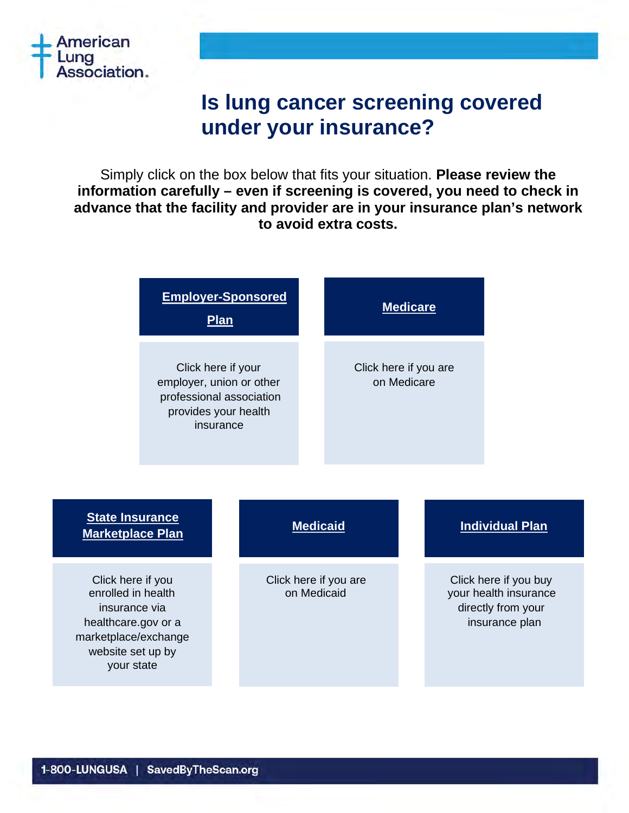

# **Is lung cancer screening covered under your insurance?**

Simply click on the box below that fits your situation. **Please review the information carefully – even if screening is covered, you need to check in advance that the facility and provider are in your insurance plan's network to avoid extra costs.**

|                                                                                                                                            | <b>Employer-Sponsored</b><br><b>Plan</b> |  |                                      |  | <b>Medicare</b><br>Click here if you are<br>on Medicare |  |                                                                                        |  |
|--------------------------------------------------------------------------------------------------------------------------------------------|------------------------------------------|--|--------------------------------------|--|---------------------------------------------------------|--|----------------------------------------------------------------------------------------|--|
| Click here if your<br>employer, union or other<br>professional association<br>provides your health<br>insurance                            |                                          |  |                                      |  |                                                         |  |                                                                                        |  |
| <b>State Insurance</b><br><b>Marketplace Plan</b>                                                                                          |                                          |  | <b>Medicaid</b>                      |  |                                                         |  | <b>Individual Plan</b>                                                                 |  |
| Click here if you<br>enrolled in health<br>insurance via<br>healthcare.gov or a<br>marketplace/exchange<br>website set up by<br>your state |                                          |  | Click here if you are<br>on Medicaid |  |                                                         |  | Click here if you buy<br>your health insurance<br>directly from your<br>insurance plan |  |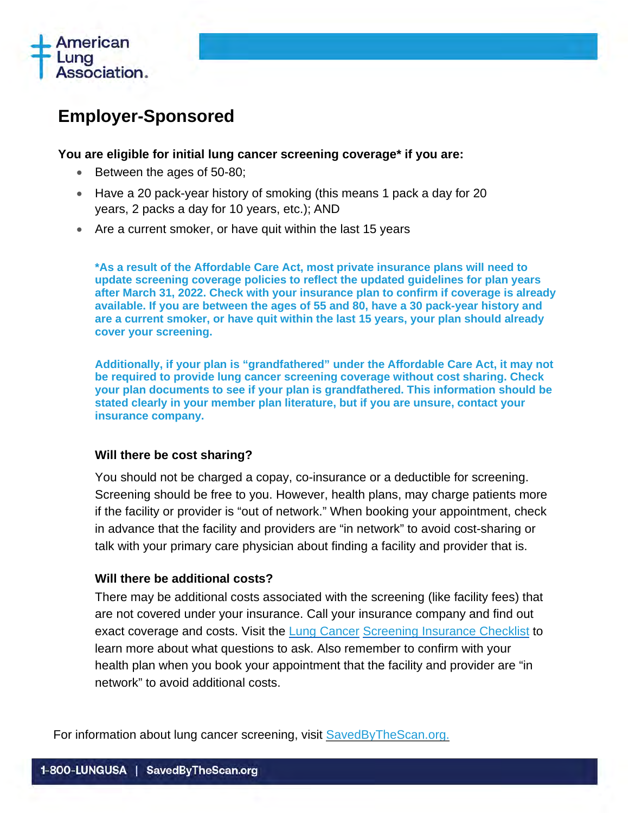

## <span id="page-1-0"></span>**Employer-Sponsored**

#### **You are eligible for initial lung cancer screening coverage\* if you are:**

- Between the ages of 50-80;
- Have a 20 pack-year history of smoking (this means 1 pack a day for 20 years, 2 packs a day for 10 years, etc.); AND
- Are a current smoker, or have quit within the last 15 years

**\*As a result of the Affordable Care Act, most private insurance plans will need to update screening coverage policies to reflect the updated guidelines for plan years after March 31, 2022. Check with your insurance plan to confirm if coverage is already available. If you are between the ages of 55 and 80, have a 30 pack-year history and are a current smoker, or have quit within the last 15 years, your plan should already cover your screening.** 

**Additionally, if your plan is "grandfathered" under the Affordable Care Act, it may not be required to provide lung cancer screening coverage without cost sharing. Check your plan documents to see if your plan is grandfathered. This information should be stated clearly in your member plan literature, but if you are unsure, contact your insurance company.**

#### **Will there be cost sharing?**

You should not be charged a copay, co-insurance or a deductible for screening. Screening should be free to you. However, health plans, may charge patients more if the facility or provider is "out of network." When booking your appointment, check in advance that the facility and providers are "in network" to avoid cost-sharing or talk with your primary care physician about finding a facility and provider that is.

#### **Will there be additional costs?**

There may be additional costs associated with the screening (like facility fees) that are not covered under your insurance. Call your insurance company and find out exact coverage and costs. Visit the [Lung Cancer](http://www.lung.org/lung-health-and-diseases/lung-disease-lookup/lung-cancer/diagnosing-and-treating/insurance-checklist.html) [Screening Insurance Checklist](http://www.lung.org/lung-health-and-diseases/lung-disease-lookup/lung-cancer/diagnosing-and-treating/insurance-checklist.html) to learn more about what questions to ask. Also remember to confirm with your health plan when you book your appointment that the facility and provider are "in network" to avoid additional costs.

For information about lung cancer screening, visit [SavedByTheScan.org.](http://www.savedbythescan.org/)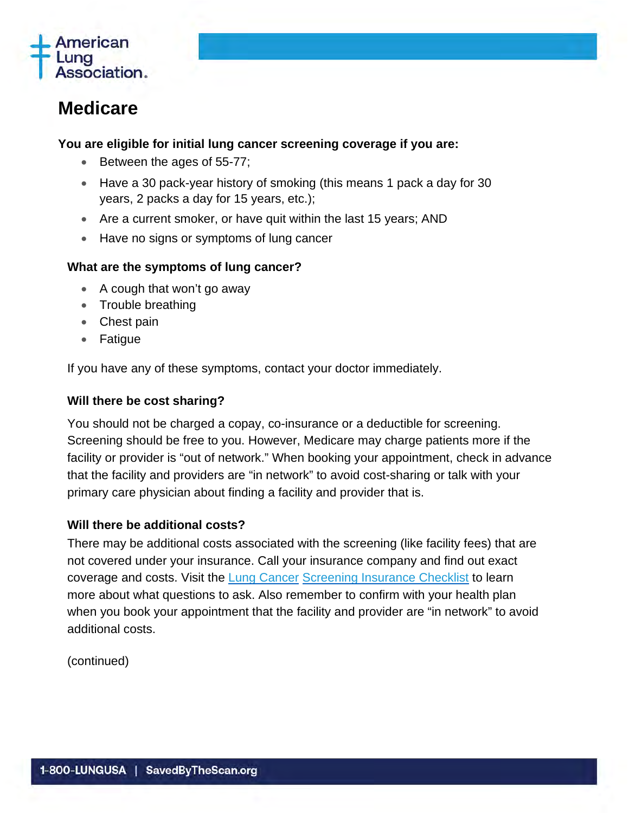

## <span id="page-2-0"></span>**Medicare**

#### **You are eligible for initial lung cancer screening coverage if you are:**

- Between the ages of 55-77;
- Have a 30 pack-year history of smoking (this means 1 pack a day for 30 years, 2 packs a day for 15 years, etc.);
- Are a current smoker, or have quit within the last 15 years; AND
- Have no signs or symptoms of lung cancer

#### **What are the symptoms of lung cancer?**

- A cough that won't go away
- Trouble breathing
- Chest pain
- Fatigue

If you have any of these symptoms, contact your doctor immediately.

#### **Will there be cost sharing?**

You should not be charged a copay, co-insurance or a deductible for screening. Screening should be free to you. However, Medicare may charge patients more if the facility or provider is "out of network." When booking your appointment, check in advance that the facility and providers are "in network" to avoid cost-sharing or talk with your primary care physician about finding a facility and provider that is.

#### **Will there be additional costs?**

There may be additional costs associated with the screening (like facility fees) that are not covered under your insurance. Call your insurance company and find out exact coverage and costs. Visit the [Lung Cancer](http://www.lung.org/lung-health-and-diseases/lung-disease-lookup/lung-cancer/diagnosing-and-treating/insurance-checklist.html) Screening [Insurance Checklist](http://www.lung.org/lung-health-and-diseases/lung-disease-lookup/lung-cancer/diagnosing-and-treating/insurance-checklist.html) to learn more about what questions to ask. Also remember to confirm with your health plan when you book your appointment that the facility and provider are "in network" to avoid additional costs.

(continued)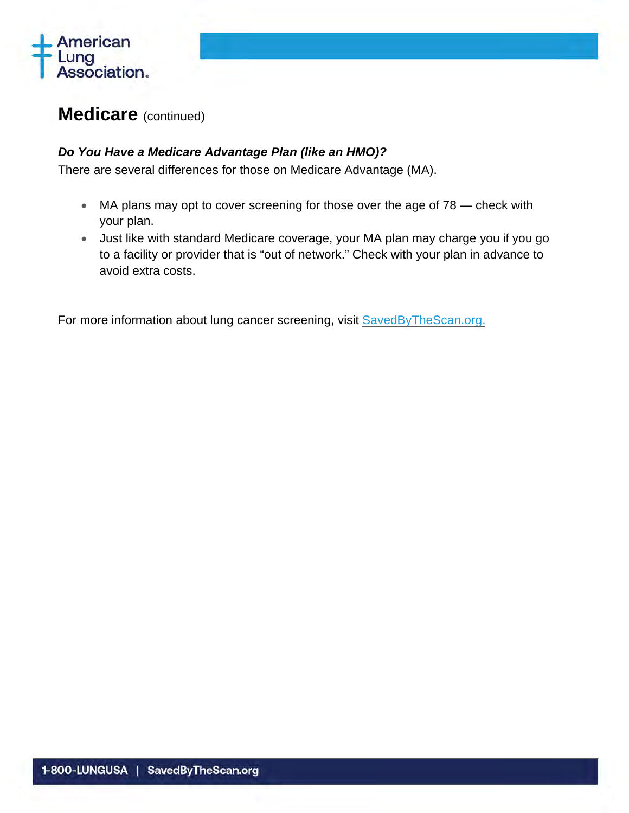

### **Medicare** (continued)

#### *Do You Have a Medicare Advantage Plan (like an HMO)?*

There are several differences for those on Medicare Advantage (MA).

- MA plans may opt to cover screening for those over the age of 78 check with your plan.
- Just like with standard Medicare coverage, your MA plan may charge you if you go to a facility or provider that is "out of network." Check with your plan in advance to avoid extra costs.

For more information about lung cancer screening, visit **SavedByTheScan.org.**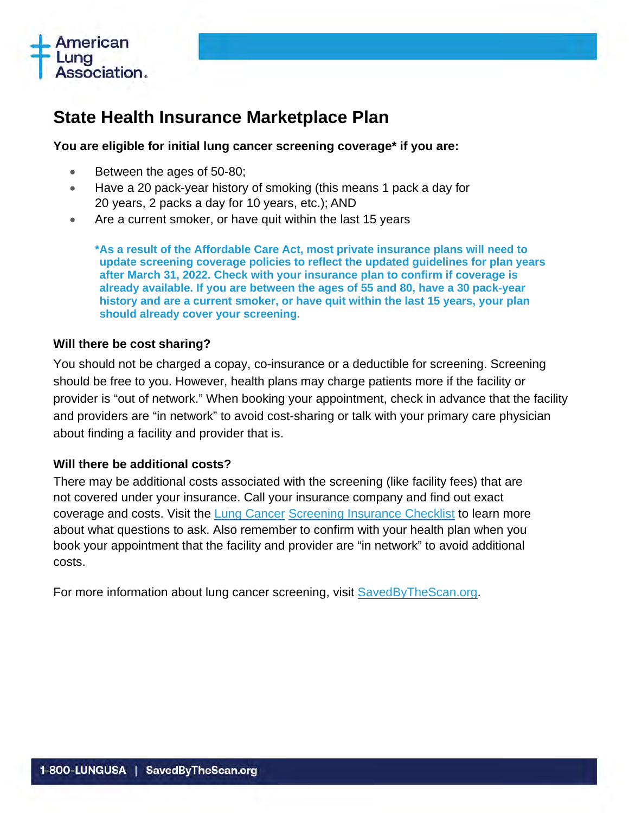

### <span id="page-4-0"></span>**State Health Insurance Marketplace Plan**

#### **You are eligible for initial lung cancer screening coverage\* if you are:**

- Between the ages of 50-80;
- Have a 20 pack-year history of smoking (this means 1 pack a day for 20 years, 2 packs a day for 10 years, etc.); AND
- Are a current smoker, or have quit within the last 15 years

**\*As a result of the Affordable Care Act, most private insurance plans will need to update screening coverage policies to reflect the updated guidelines for plan years after March 31, 2022. Check with your insurance plan to confirm if coverage is already available. If you are between the ages of 55 and 80, have a 30 pack-year history and are a current smoker, or have quit within the last 15 years, your plan should already cover your screening.** 

#### **Will there be cost sharing?**

You should not be charged a copay, co-insurance or a deductible for screening. Screening should be free to you. However, health plans may charge patients more if the facility or provider is "out of network." When booking your appointment, check in advance that the facility and providers are "in network" to avoid cost-sharing or talk with your primary care physician about finding a facility and provider that is.

#### **Will there be additional costs?**

There may be additional costs associated with the screening (like facility fees) that are not covered under your insurance. Call your insurance company and find out exact coverage and costs. Visit the [Lung Cancer](http://www.lung.org/lung-health-and-diseases/lung-disease-lookup/lung-cancer/diagnosing-and-treating/insurance-checklist.html) [Screening Insurance Checklist](http://www.lung.org/lung-health-and-diseases/lung-disease-lookup/lung-cancer/diagnosing-and-treating/insurance-checklist.html) to learn more about what questions to ask. Also remember to confirm with your health plan when you book your appointment that the facility and provider are "in network" to avoid additional costs.

For more information about lung cancer screening, visit SavedByTheScan.org.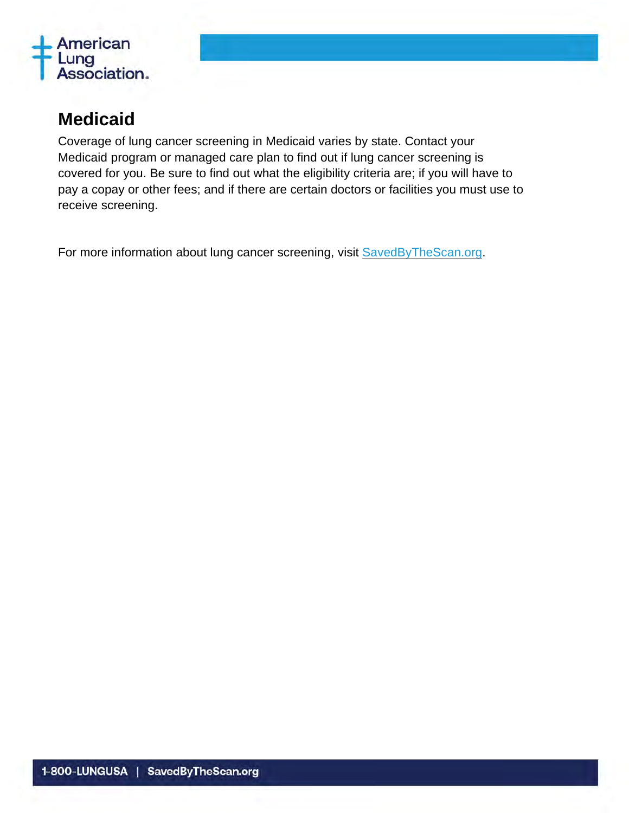

### <span id="page-5-0"></span>**Medicaid**

Coverage of lung cancer screening in Medicaid varies by state. Contact your Medicaid program or managed care plan to find out if lung cancer screening is covered for you. Be sure to find out what the eligibility criteria are; if you will have to pay a copay or other fees; and if there are certain doctors or facilities you must use to receive screening.

For more information about lung cancer screening, visit SavedByTheScan.or[g.](http://www.lung.org/lcscreening)